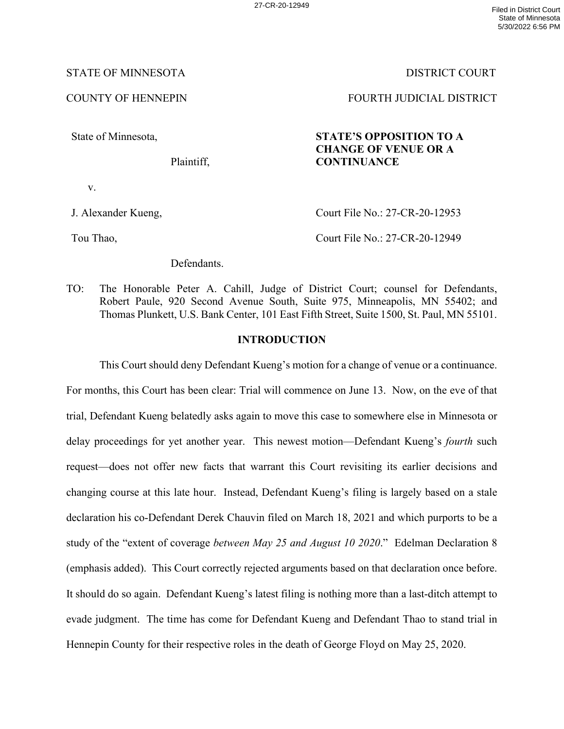# STATE OF MINNESOTA DISTRICT COURT

# COUNTY OF HENNEPIN FOURTH JUDICIAL DISTRICT

State of Minnesota,

Plaintiff,

# **STATE'S OPPOSITION TO A CHANGE OF VENUE OR A CONTINUANCE**

v.

J. Alexander Kueng,

Court File No.: 27-CR-20-12953

Tou Thao,

Court File No.: 27-CR-20-12949

Defendants.

TO: The Honorable Peter A. Cahill, Judge of District Court; counsel for Defendants, Robert Paule, 920 Second Avenue South, Suite 975, Minneapolis, MN 55402; and Thomas Plunkett, U.S. Bank Center, 101 East Fifth Street, Suite 1500, St. Paul, MN 55101.

# **INTRODUCTION**

This Court should deny Defendant Kueng's motion for a change of venue or a continuance. For months, this Court has been clear: Trial will commence on June 13. Now, on the eve of that trial, Defendant Kueng belatedly asks again to move this case to somewhere else in Minnesota or delay proceedings for yet another year. This newest motion—Defendant Kueng's *fourth* such request—does not offer new facts that warrant this Court revisiting its earlier decisions and changing course at this late hour. Instead, Defendant Kueng's filing is largely based on a stale declaration his co-Defendant Derek Chauvin filed on March 18, 2021 and which purports to be a study of the "extent of coverage *between May 25 and August 10 2020*." Edelman Declaration 8 (emphasis added). This Court correctly rejected arguments based on that declaration once before. It should do so again. Defendant Kueng's latest filing is nothing more than a last-ditch attempt to evade judgment. The time has come for Defendant Kueng and Defendant Thao to stand trial in Hennepin County for their respective roles in the death of George Floyd on May 25, 2020.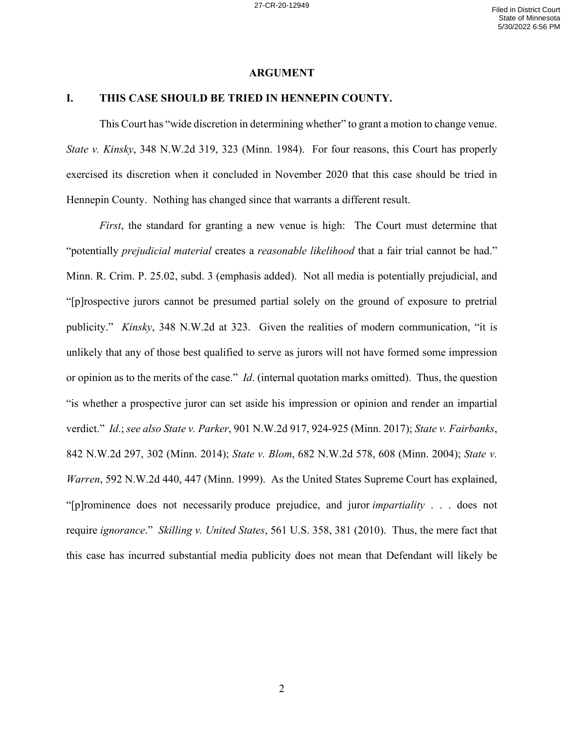#### **ARGUMENT**

## **I. THIS CASE SHOULD BE TRIED IN HENNEPIN COUNTY.**

This Court has "wide discretion in determining whether" to grant a motion to change venue. *State v. Kinsky*, 348 N.W.2d 319, 323 (Minn. 1984). For four reasons, this Court has properly exercised its discretion when it concluded in November 2020 that this case should be tried in Hennepin County. Nothing has changed since that warrants a different result.

*First*, the standard for granting a new venue is high: The Court must determine that "potentially *prejudicial material* creates a *reasonable likelihood* that a fair trial cannot be had." Minn. R. Crim. P. 25.02, subd. 3 (emphasis added). Not all media is potentially prejudicial, and "[p]rospective jurors cannot be presumed partial solely on the ground of exposure to pretrial publicity." *Kinsky*, 348 N.W.2d at 323. Given the realities of modern communication, "it is unlikely that any of those best qualified to serve as jurors will not have formed some impression or opinion as to the merits of the case." *Id*. (internal quotation marks omitted). Thus, the question "is whether a prospective juror can set aside his impression or opinion and render an impartial verdict." *Id*.; *see also State v. Parker*, 901 N.W.2d 917, 924-925 (Minn. 2017); *State v. Fairbanks*, 842 N.W.2d 297, 302 (Minn. 2014); *State v. Blom*, 682 N.W.2d 578, 608 (Minn. 2004); *State v. Warren*, 592 N.W.2d 440, 447 (Minn. 1999). As the United States Supreme Court has explained, "[p]rominence does not necessarily produce prejudice, and juror *impartiality* . . . does not require *ignorance*." *Skilling v. United States*, 561 U.S. 358, 381 (2010). Thus, the mere fact that this case has incurred substantial media publicity does not mean that Defendant will likely be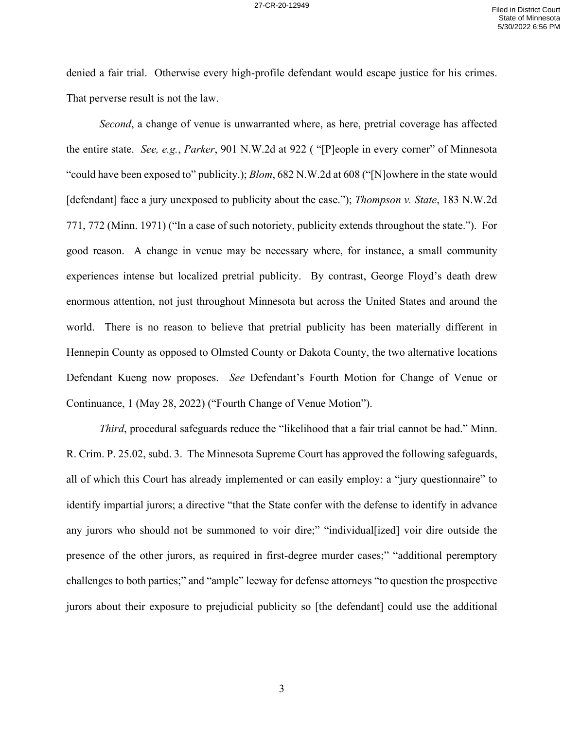denied a fair trial. Otherwise every high-profile defendant would escape justice for his crimes. That perverse result is not the law.

*Second*, a change of venue is unwarranted where, as here, pretrial coverage has affected the entire state. *See, e.g.*, *Parker*, 901 N.W.2d at 922 ( "[P]eople in every corner" of Minnesota "could have been exposed to" publicity.); *Blom*, 682 N.W.2d at 608 ("[N]owhere in the state would [defendant] face a jury unexposed to publicity about the case."); *Thompson v. State*, 183 N.W.2d 771, 772 (Minn. 1971) ("In a case of such notoriety, publicity extends throughout the state."). For good reason. A change in venue may be necessary where, for instance, a small community experiences intense but localized pretrial publicity. By contrast, George Floyd's death drew enormous attention, not just throughout Minnesota but across the United States and around the world. There is no reason to believe that pretrial publicity has been materially different in Hennepin County as opposed to Olmsted County or Dakota County, the two alternative locations Defendant Kueng now proposes. *See* Defendant's Fourth Motion for Change of Venue or Continuance, 1 (May 28, 2022) ("Fourth Change of Venue Motion").

*Third*, procedural safeguards reduce the "likelihood that a fair trial cannot be had." Minn. R. Crim. P. 25.02, subd. 3. The Minnesota Supreme Court has approved the following safeguards, all of which this Court has already implemented or can easily employ: a "jury questionnaire" to identify impartial jurors; a directive "that the State confer with the defense to identify in advance any jurors who should not be summoned to voir dire;" "individual[ized] voir dire outside the presence of the other jurors, as required in first-degree murder cases;" "additional peremptory challenges to both parties;" and "ample" leeway for defense attorneys "to question the prospective jurors about their exposure to prejudicial publicity so [the defendant] could use the additional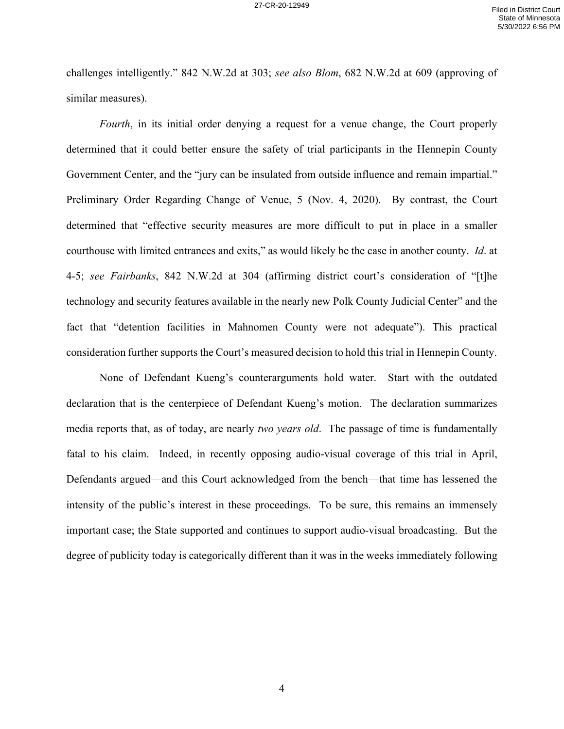challenges intelligently." 842 N.W.2d at 303; *see also Blom*, 682 N.W.2d at 609 (approving of similar measures).

*Fourth*, in its initial order denying a request for a venue change, the Court properly determined that it could better ensure the safety of trial participants in the Hennepin County Government Center, and the "jury can be insulated from outside influence and remain impartial." Preliminary Order Regarding Change of Venue, 5 (Nov. 4, 2020). By contrast, the Court determined that "effective security measures are more difficult to put in place in a smaller courthouse with limited entrances and exits," as would likely be the case in another county. *Id*. at 4-5; *see Fairbanks*, 842 N.W.2d at 304 (affirming district court's consideration of "[t]he technology and security features available in the nearly new Polk County Judicial Center" and the fact that "detention facilities in Mahnomen County were not adequate"). This practical consideration further supports the Court's measured decision to hold this trial in Hennepin County.

None of Defendant Kueng's counterarguments hold water. Start with the outdated declaration that is the centerpiece of Defendant Kueng's motion. The declaration summarizes media reports that, as of today, are nearly *two years old*. The passage of time is fundamentally fatal to his claim. Indeed, in recently opposing audio-visual coverage of this trial in April, Defendants argued—and this Court acknowledged from the bench—that time has lessened the intensity of the public's interest in these proceedings. To be sure, this remains an immensely important case; the State supported and continues to support audio-visual broadcasting. But the degree of publicity today is categorically different than it was in the weeks immediately following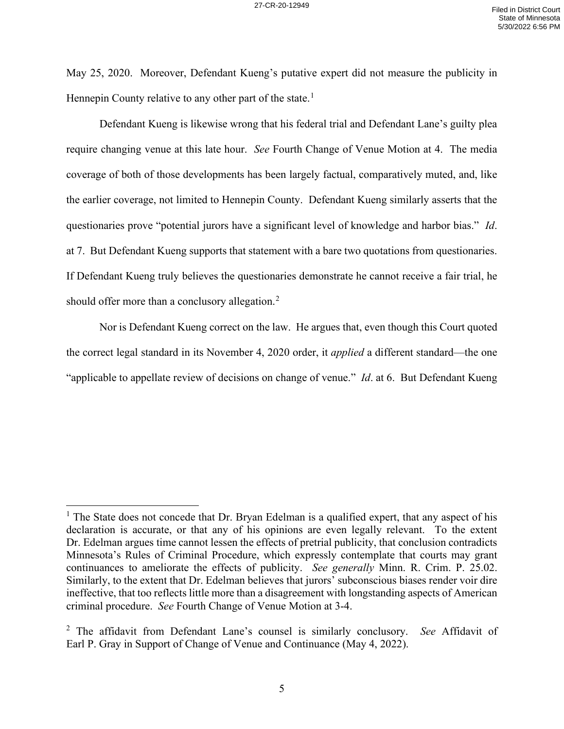May 25, 2020. Moreover, Defendant Kueng's putative expert did not measure the publicity in Hennepin County relative to any other part of the state.<sup>[1](#page-4-0)</sup>

Defendant Kueng is likewise wrong that his federal trial and Defendant Lane's guilty plea require changing venue at this late hour. *See* Fourth Change of Venue Motion at 4. The media coverage of both of those developments has been largely factual, comparatively muted, and, like the earlier coverage, not limited to Hennepin County. Defendant Kueng similarly asserts that the questionaries prove "potential jurors have a significant level of knowledge and harbor bias." *Id*. at 7. But Defendant Kueng supports that statement with a bare two quotations from questionaries. If Defendant Kueng truly believes the questionaries demonstrate he cannot receive a fair trial, he should offer more than a conclusory allegation.<sup>[2](#page-4-1)</sup>

Nor is Defendant Kueng correct on the law. He argues that, even though this Court quoted the correct legal standard in its November 4, 2020 order, it *applied* a different standard—the one "applicable to appellate review of decisions on change of venue." *Id*. at 6. But Defendant Kueng

<span id="page-4-0"></span> $<sup>1</sup>$  The State does not concede that Dr. Bryan Edelman is a qualified expert, that any aspect of his</sup> declaration is accurate, or that any of his opinions are even legally relevant. To the extent Dr. Edelman argues time cannot lessen the effects of pretrial publicity, that conclusion contradicts Minnesota's Rules of Criminal Procedure, which expressly contemplate that courts may grant continuances to ameliorate the effects of publicity. *See generally* Minn. R. Crim. P. 25.02. Similarly, to the extent that Dr. Edelman believes that jurors' subconscious biases render voir dire ineffective, that too reflects little more than a disagreement with longstanding aspects of American criminal procedure. *See* Fourth Change of Venue Motion at 3-4.

<span id="page-4-1"></span><sup>2</sup> The affidavit from Defendant Lane's counsel is similarly conclusory. *See* Affidavit of Earl P. Gray in Support of Change of Venue and Continuance (May 4, 2022).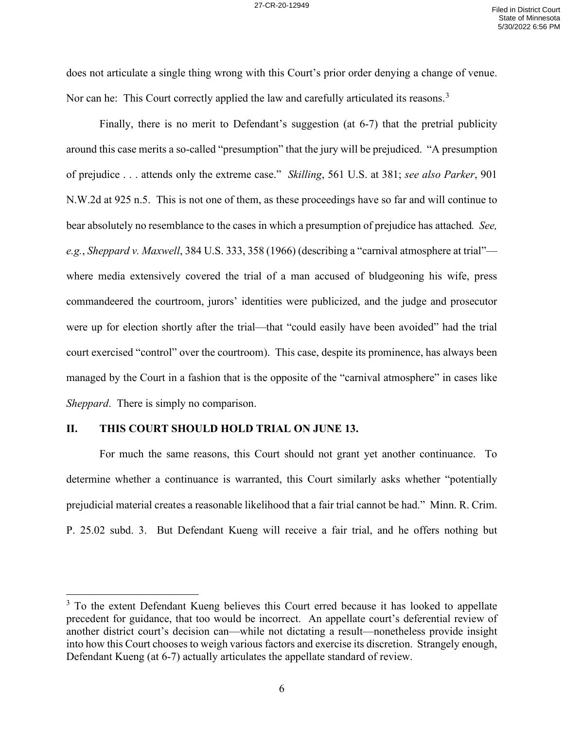does not articulate a single thing wrong with this Court's prior order denying a change of venue. Nor can he: This Court correctly applied the law and carefully articulated its reasons.<sup>[3](#page-5-0)</sup>

Finally, there is no merit to Defendant's suggestion (at 6-7) that the pretrial publicity around this case merits a so-called "presumption" that the jury will be prejudiced. "A presumption of prejudice . . . attends only the extreme case." *Skilling*, 561 U.S. at 381; *see also Parker*, 901 N.W.2d at 925 n.5. This is not one of them, as these proceedings have so far and will continue to bear absolutely no resemblance to the cases in which a presumption of prejudice has attached*. See, e.g.*, *Sheppard v. Maxwell*, 384 U.S. 333, 358 (1966) (describing a "carnival atmosphere at trial" where media extensively covered the trial of a man accused of bludgeoning his wife, press commandeered the courtroom, jurors' identities were publicized, and the judge and prosecutor were up for election shortly after the trial—that "could easily have been avoided" had the trial court exercised "control" over the courtroom). This case, despite its prominence, has always been managed by the Court in a fashion that is the opposite of the "carnival atmosphere" in cases like *Sheppard*. There is simply no comparison.

### **II. THIS COURT SHOULD HOLD TRIAL ON JUNE 13.**

For much the same reasons, this Court should not grant yet another continuance. To determine whether a continuance is warranted, this Court similarly asks whether "potentially prejudicial material creates a reasonable likelihood that a fair trial cannot be had." Minn. R. Crim. P. 25.02 subd. 3. But Defendant Kueng will receive a fair trial, and he offers nothing but

<span id="page-5-0"></span><sup>&</sup>lt;sup>3</sup> To the extent Defendant Kueng believes this Court erred because it has looked to appellate precedent for guidance, that too would be incorrect. An appellate court's deferential review of another district court's decision can—while not dictating a result—nonetheless provide insight into how this Court chooses to weigh various factors and exercise its discretion. Strangely enough, Defendant Kueng (at 6-7) actually articulates the appellate standard of review.